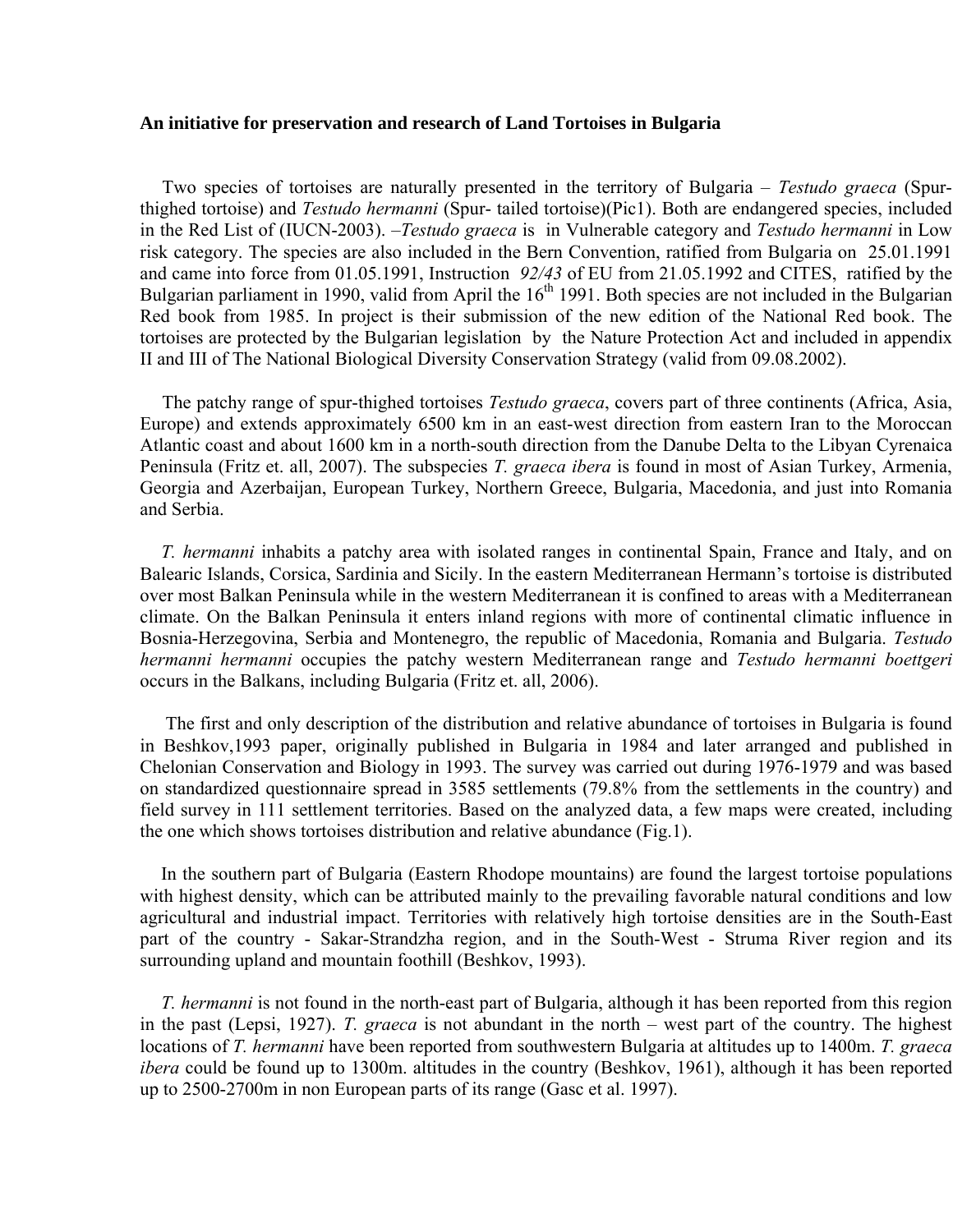#### **An initiative for preservation and research of Land Tortoises in Bulgaria**

Two species of tortoises are naturally presented in the territory of Bulgaria – *Testudo graeca* (Spurthighed tortoise) and *Testudo hermanni* (Spur- tailed tortoise)(Pic1). Both are endangered species, included in the Red List of (IUCN-2003). –*Testudo graeca* is in Vulnerable category and *Testudo hermanni* in Low risk category. The species are also included in the Bern Convention, ratified from Bulgaria on 25.01.1991 and came into force from 01.05.1991, Instruction *92/43* of EU from 21.05.1992 and CITES, ratified by the Bulgarian parliament in 1990, valid from April the  $16<sup>th</sup>$  1991. Both species are not included in the Bulgarian Red book from 1985. In project is their submission of the new edition of the National Red book. The tortoises are protected by the Bulgarian legislation by the Nature Protection Act and included in appendix II and III of The National Biological Diversity Conservation Strategy (valid from 09.08.2002).

The patchy range of spur-thighed tortoises *Testudo graeca*, covers part of three continents (Africa, Asia, Europe) and extends approximately 6500 km in an east-west direction from eastern Iran to the Moroccan Atlantic coast and about 1600 km in a north-south direction from the Danube Delta to the Libyan Cyrenaica Peninsula (Fritz et. all, 2007). The subspecies *T. graeca ibera* is found in most of Asian Turkey, Armenia, Georgia and Azerbaijan, European Turkey, Northern Greece, Bulgaria, Macedonia, and just into Romania and Serbia.

*T. hermanni* inhabits a patchy area with isolated ranges in continental Spain, France and Italy, and on Balearic Islands, Corsica, Sardinia and Sicily. In the eastern Mediterranean Hermann's tortoise is distributed over most Balkan Peninsula while in the western Mediterranean it is confined to areas with a Mediterranean climate. On the Balkan Peninsula it enters inland regions with more of continental climatic influence in Bosnia-Herzegovina, Serbia and Montenegro, the republic of Macedonia, Romania and Bulgaria. *Testudo hermanni hermanni* occupies the patchy western Mediterranean range and *Testudo hermanni boettgeri* occurs in the Balkans, including Bulgaria (Fritz et. all, 2006).

 The first and only description of the distribution and relative abundance of tortoises in Bulgaria is found in Beshkov,1993 paper, originally published in Bulgaria in 1984 and later arranged and published in Chelonian Conservation and Biology in 1993. The survey was carried out during 1976-1979 and was based on standardized questionnaire spread in 3585 settlements (79.8% from the settlements in the country) and field survey in 111 settlement territories. Based on the analyzed data, a few maps were created, including the one which shows tortoises distribution and relative abundance (Fig.1).

In the southern part of Bulgaria (Eastern Rhodope mountains) are found the largest tortoise populations with highest density, which can be attributed mainly to the prevailing favorable natural conditions and low agricultural and industrial impact. Territories with relatively high tortoise densities are in the South-East part of the country - Sakar-Strandzha region, and in the South-West - Struma River region and its surrounding upland and mountain foothill (Beshkov, 1993).

*T. hermanni* is not found in the north-east part of Bulgaria, although it has been reported from this region in the past (Lepsi, 1927). *T. graeca* is not abundant in the north – west part of the country. The highest locations of *T. hermanni* have been reported from southwestern Bulgaria at altitudes up to 1400m. *T. graeca ibera* could be found up to 1300m. altitudes in the country (Beshkov, 1961), although it has been reported up to 2500-2700m in non European parts of its range (Gasc et al. 1997).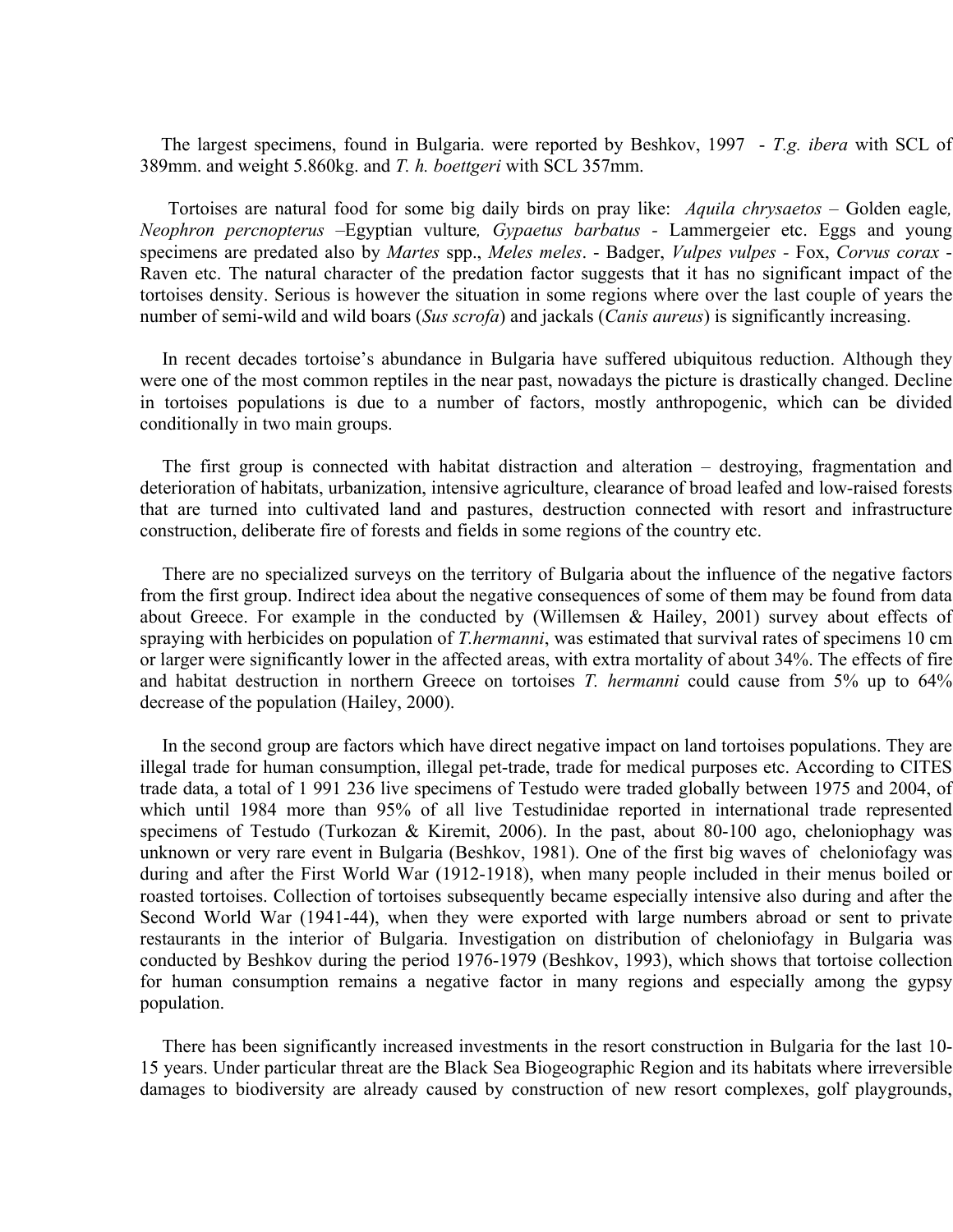The largest specimens, found in Bulgaria. were reported by Beshkov, 1997 - *T.g. ibera* with SCL of 389mm. and weight 5.860kg. and *T. h. boettgeri* with SCL 357mm.

Tortoises are natural food for some big daily birds on pray like: *Аquila chrysaetos* – Golden eagle*, Neophron percnopterus –*Egyptian vulture*, Gypaetus barbatus -* Lammergeier etc. Eggs and young specimens are predated also by *Martes* spp., *Meles meles*. - Badger, *Vulpes vulpes -* Fox, *Corvus corax* - Raven etc. The natural character of the predation factor suggests that it has no significant impact of the tortoises density. Serious is however the situation in some regions where over the last couple of years the number of semi-wild and wild boars (*Sus scrofa*) and jackals (*Canis aureus*) is significantly increasing.

In recent decades tortoise's abundance in Bulgaria have suffered ubiquitous reduction. Although they were one of the most common reptiles in the near past, nowadays the picture is drastically changed. Decline in tortoises populations is due to a number of factors, mostly anthropogenic, which can be divided conditionally in two main groups.

The first group is connected with habitat distraction and alteration – destroying, fragmentation and deterioration of habitats, urbanization, intensive agriculture, clearance of broad leafed and low-raised forests that are turned into cultivated land and pastures, destruction connected with resort and infrastructure construction, deliberate fire of forests and fields in some regions of the country etc.

There are no specialized surveys on the territory of Bulgaria about the influence of the negative factors from the first group. Indirect idea about the negative consequences of some of them may be found from data about Greece. For example in the conducted by (Willemsen & Hailey, 2001) survey about effects of spraying with herbicides on population of *T.hermanni*, was estimated that survival rates of specimens 10 cm or larger were significantly lower in the affected areas, with extra mortality of about 34%. The effects of fire and habitat destruction in northern Greece on tortoises *T. hermanni* could cause from 5% up to 64% decrease of the population (Hailey, 2000).

In the second group are factors which have direct negative impact on land tortoises populations. They are illegal trade for human consumption, illegal pet-trade, trade for medical purposes etc. According to CITES trade data, a total of 1 991 236 live specimens of Testudo were traded globally between 1975 and 2004, of which until 1984 more than 95% of all live Testudinidae reported in international trade represented specimens of Testudo (Turkozan & Kiremit, 2006). In the past, about 80-100 ago, cheloniophagy was unknown or very rare event in Bulgaria (Beshkov, 1981). One of the first big waves of cheloniofagy was during and after the First World War (1912-1918), when many people included in their menus boiled or roasted tortoises. Collection of tortoises subsequently became especially intensive also during and after the Second World War (1941-44), when they were exported with large numbers abroad or sent to private restaurants in the interior of Bulgaria. Investigation on distribution of cheloniofagy in Bulgaria was conducted by Beshkov during the period 1976-1979 (Beshkov, 1993), which shows that tortoise collection for human consumption remains a negative factor in many regions and especially among the gypsy population.

There has been significantly increased investments in the resort construction in Bulgaria for the last 10- 15 years. Under particular threat are the Black Sea Biogeographic Region and its habitats where irreversible damages to biodiversity are already caused by construction of new resort complexes, golf playgrounds,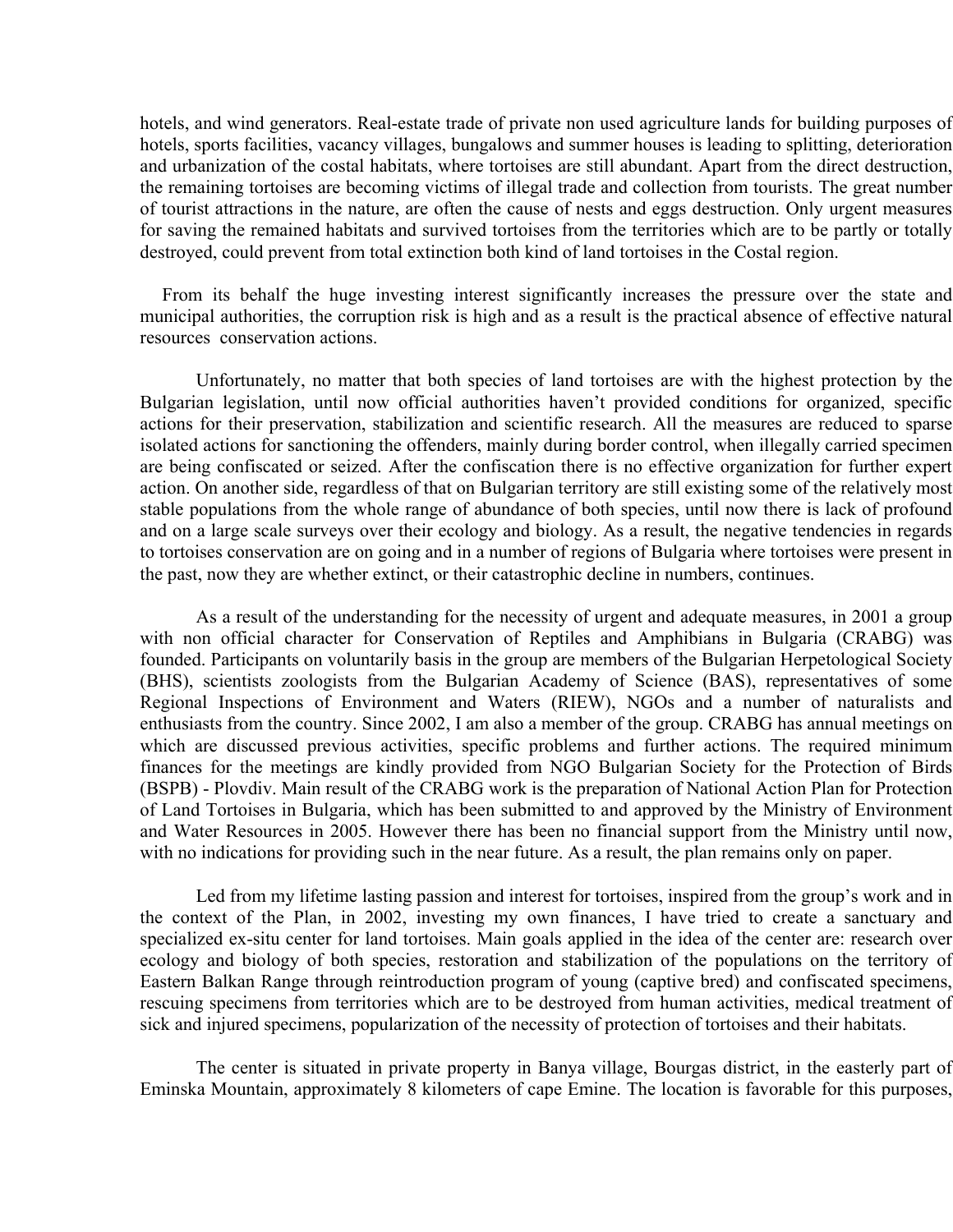hotels, and wind generators. Real-estate trade of private non used agriculture lands for building purposes of hotels, sports facilities, vacancy villages, bungalows and summer houses is leading to splitting, deterioration and urbanization of the costal habitats, where tortoises are still abundant. Apart from the direct destruction, the remaining tortoises are becoming victims of illegal trade and collection from tourists. The great number of tourist attractions in the nature, are often the cause of nests and eggs destruction. Only urgent measures for saving the remained habitats and survived tortoises from the territories which are to be partly or totally destroyed, could prevent from total extinction both kind of land tortoises in the Costal region.

From its behalf the huge investing interest significantly increases the pressure over the state and municipal authorities, the corruption risk is high and as a result is the practical absence of effective natural resources conservation actions.

Unfortunately, no matter that both species of land tortoises are with the highest protection by the Bulgarian legislation, until now official authorities haven't provided conditions for organized, specific actions for their preservation, stabilization and scientific research. All the measures are reduced to sparse isolated actions for sanctioning the offenders, mainly during border control, when illegally carried specimen are being confiscated or seized. After the confiscation there is no effective organization for further expert action. On another side, regardless of that on Bulgarian territory are still existing some of the relatively most stable populations from the whole range of abundance of both species, until now there is lack of profound and on a large scale surveys over their ecology and biology. As a result, the negative tendencies in regards to tortoises conservation are on going and in a number of regions of Bulgaria where tortoises were present in the past, now they are whether extinct, or their catastrophic decline in numbers, continues.

As a result of the understanding for the necessity of urgent and adequate measures, in 2001 a group with non official character for Conservation of Reptiles and Amphibians in Bulgaria (CRABG) was founded. Participants on voluntarily basis in the group are members of the Bulgarian Herpetological Society (BHS), scientists zoologists from the Bulgarian Academy of Science (BAS), representatives of some Regional Inspections of Environment and Waters (RIEW), NGOs and a number of naturalists and enthusiasts from the country. Since 2002, I am also a member of the group. CRABG has annual meetings on which are discussed previous activities, specific problems and further actions. The required minimum finances for the meetings are kindly provided from NGO Bulgarian Society for the Protection of Birds (BSPB) - Plovdiv. Main result of the CRABG work is the preparation of National Action Plan for Protection of Land Tortoises in Bulgaria, which has been submitted to and approved by the Ministry of Environment and Water Resources in 2005. However there has been no financial support from the Ministry until now, with no indications for providing such in the near future. As a result, the plan remains only on paper.

Led from my lifetime lasting passion and interest for tortoises, inspired from the group's work and in the context of the Plan, in 2002, investing my own finances, I have tried to create a sanctuary and specialized ex-situ center for land tortoises. Main goals applied in the idea of the center are: research over ecology and biology of both species, restoration and stabilization of the populations on the territory of Eastern Balkan Range through reintroduction program of young (captive bred) and confiscated specimens, rescuing specimens from territories which are to be destroyed from human activities, medical treatment of sick and injured specimens, popularization of the necessity of protection of tortoises and their habitats.

The center is situated in private property in Banya village, Bourgas district, in the easterly part of Eminska Mountain, approximately 8 kilometers of cape Emine. The location is favorable for this purposes,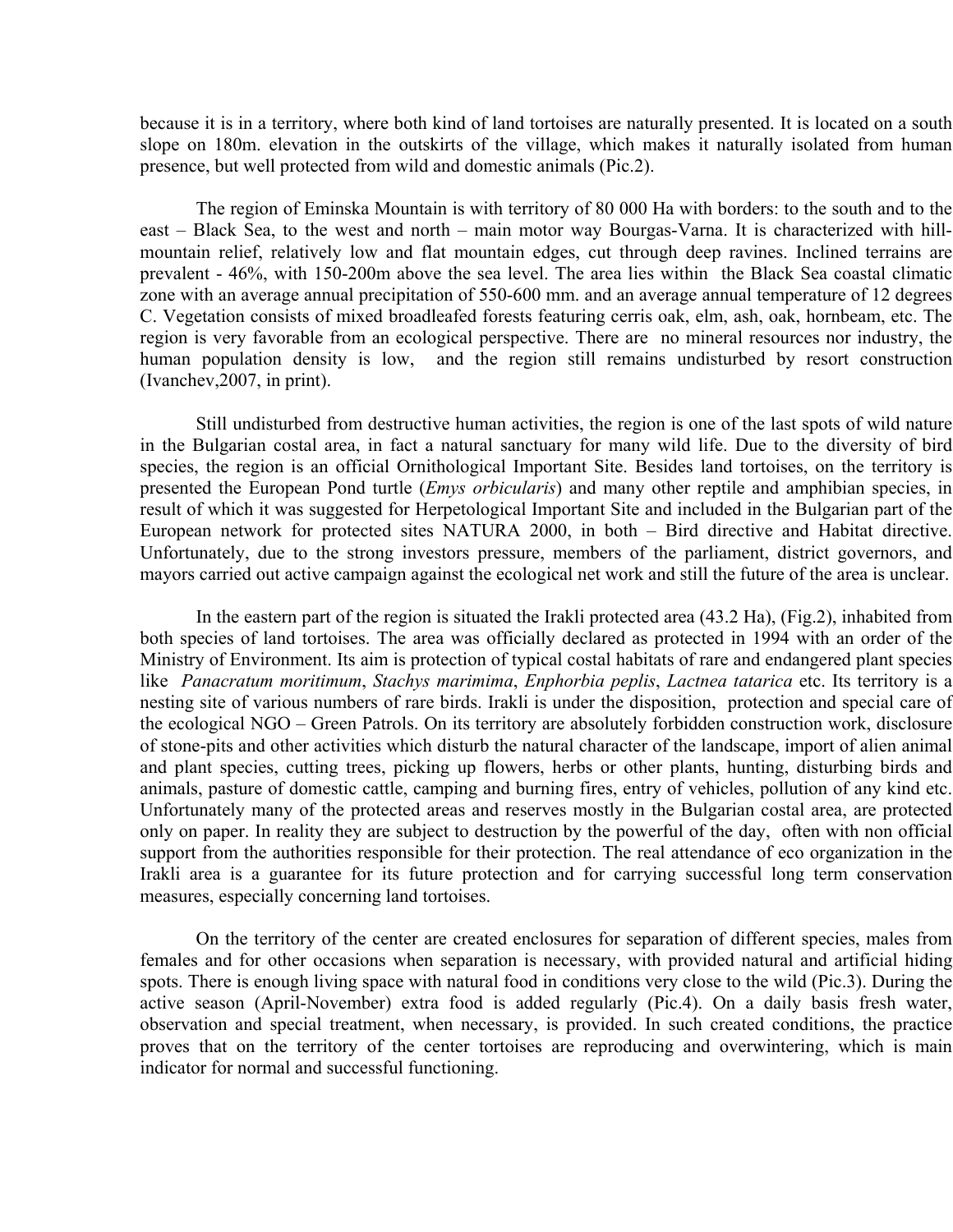because it is in a territory, where both kind of land tortoises are naturally presented. It is located on a south slope on 180m. elevation in the outskirts of the village, which makes it naturally isolated from human presence, but well protected from wild and domestic animals (Pic.2).

The region of Eminska Mountain is with territory of 80 000 Ha with borders: to the south and to the east – Black Sea, to the west and north – main motor way Bourgas-Varna. It is characterized with hillmountain relief, relatively low and flat mountain edges, cut through deep ravines. Inclined terrains are prevalent - 46%, with 150-200m above the sea level. The area lies within the Black Sea coastal climatic zone with an average annual precipitation of 550-600 mm. and an average annual temperature of 12 degrees C. Vegetation consists of mixed broadleafed forests featuring cerris oak, elm, ash, oak, hornbeam, etc. The region is very favorable from an ecological perspective. There are no mineral resources nor industry, the human population density is low, and the region still remains undisturbed by resort construction (Ivanchev,2007, in print).

Still undisturbed from destructive human activities, the region is one of the last spots of wild nature in the Bulgarian costal area, in fact a natural sanctuary for many wild life. Due to the diversity of bird species, the region is an official Ornithological Important Site. Besides land tortoises, on the territory is presented the European Pond turtle (*Emys orbicularis*) and many other reptile and amphibian species, in result of which it was suggested for Herpetological Important Site and included in the Bulgarian part of the European network for protected sites NATURA 2000, in both – Bird directive and Habitat directive. Unfortunately, due to the strong investors pressure, members of the parliament, district governors, and mayors carried out active campaign against the ecological net work and still the future of the area is unclear.

In the eastern part of the region is situated the Irakli protected area (43.2 Ha), (Fig.2), inhabited from both species of land tortoises. The area was officially declared as protected in 1994 with an order of the Ministry of Environment. Its aim is protection of typical costal habitats of rare and endangered plant species like *Panacratum moritimum*, *Stachys marimima*, *Enphorbia peplis*, *Lactnea tatarica* etc. Its territory is a nesting site of various numbers of rare birds. Irakli is under the disposition, protection and special care of the ecological NGO – Green Patrols. On its territory are absolutely forbidden construction work, disclosure of stone-pits and other activities which disturb the natural character of the landscape, import of alien animal and plant species, cutting trees, picking up flowers, herbs or other plants, hunting, disturbing birds and animals, pasture of domestic cattle, camping and burning fires, entry of vehicles, pollution of any kind etc. Unfortunately many of the protected areas and reserves mostly in the Bulgarian costal area, are protected only on paper. In reality they are subject to destruction by the powerful of the day, often with non official support from the authorities responsible for their protection. The real attendance of eco organization in the Irakli area is a guarantee for its future protection and for carrying successful long term conservation measures, especially concerning land tortoises.

On the territory of the center are created enclosures for separation of different species, males from females and for other occasions when separation is necessary, with provided natural and artificial hiding spots. There is enough living space with natural food in conditions very close to the wild (Pic.3). During the active season (April-November) extra food is added regularly (Pic.4). On a daily basis fresh water, observation and special treatment, when necessary, is provided. In such created conditions, the practice proves that on the territory of the center tortoises are reproducing and overwintering, which is main indicator for normal and successful functioning.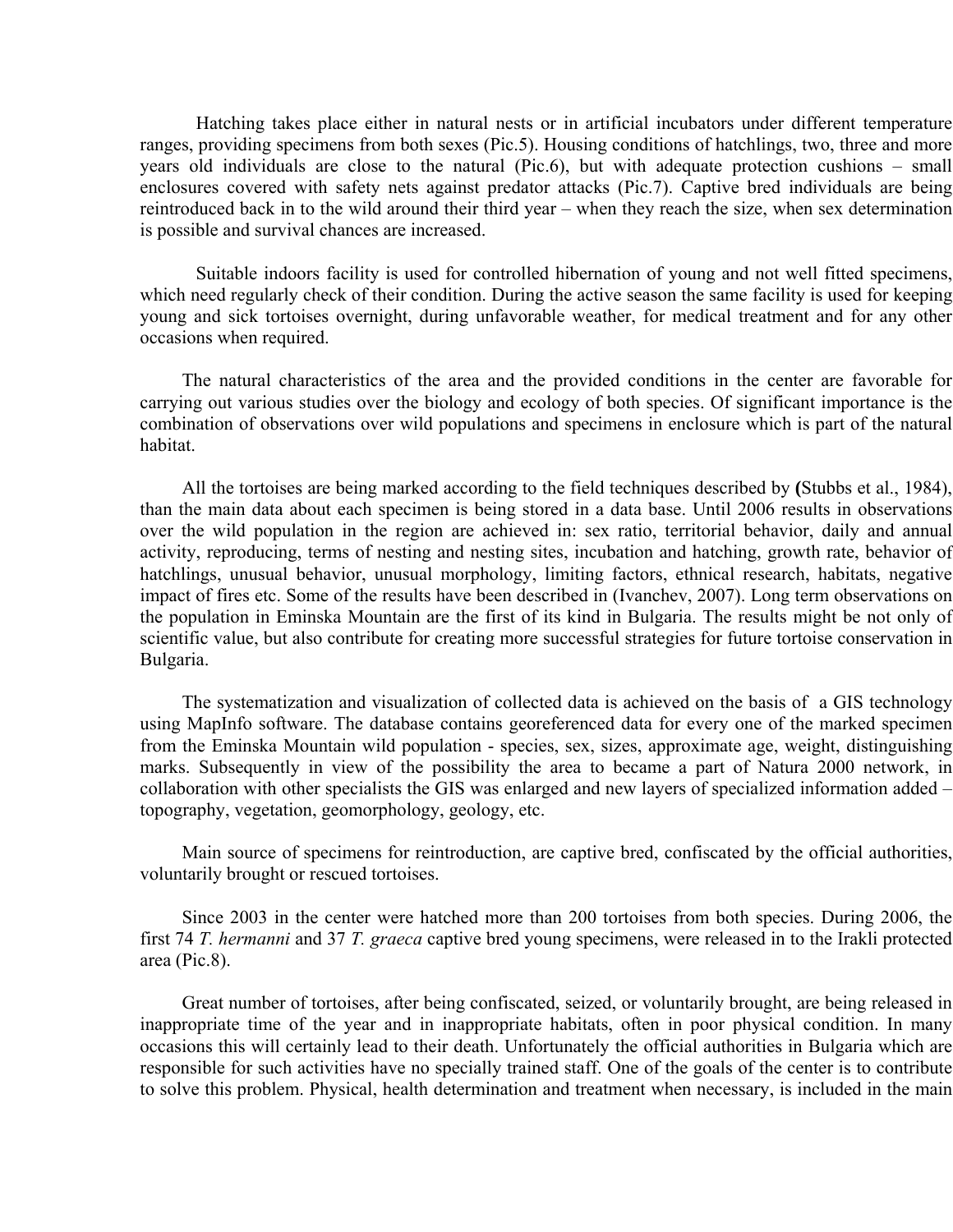Hatching takes place either in natural nests or in artificial incubators under different temperature ranges, providing specimens from both sexes (Pic.5). Housing conditions of hatchlings, two, three and more years old individuals are close to the natural (Pic.6), but with adequate protection cushions – small enclosures covered with safety nets against predator attacks (Pic.7). Captive bred individuals are being reintroduced back in to the wild around their third year – when they reach the size, when sex determination is possible and survival chances are increased.

Suitable indoors facility is used for controlled hibernation of young and not well fitted specimens, which need regularly check of their condition. During the active season the same facility is used for keeping young and sick tortoises overnight, during unfavorable weather, for medical treatment and for any other occasions when required.

The natural characteristics of the area and the provided conditions in the center are favorable for carrying out various studies over the biology and ecology of both species. Of significant importance is the combination of observations over wild populations and specimens in enclosure which is part of the natural habitat.

All the tortoises are being marked according to the field techniques described by **(**Stubbs et al., 1984), than the main data about each specimen is being stored in a data base. Until 2006 results in observations over the wild population in the region are achieved in: sex ratio, territorial behavior, daily and annual activity, reproducing, terms of nesting and nesting sites, incubation and hatching, growth rate, behavior of hatchlings, unusual behavior, unusual morphology, limiting factors, ethnical research, habitats, negative impact of fires etc. Some of the results have been described in (Ivanchev, 2007). Long term observations on the population in Eminska Mountain are the first of its kind in Bulgaria. The results might be not only of scientific value, but also contribute for creating more successful strategies for future tortoise conservation in Bulgaria.

The systematization and visualization of collected data is achieved on the basis of a GIS technology using MapInfo software. The database contains georeferenced data for every one of the marked specimen from the Eminska Mountain wild population - species, sex, sizes, approximate age, weight, distinguishing marks. Subsequently in view of the possibility the area to became a part of Natura 2000 network, in collaboration with other specialists the GIS was enlarged and new layers of specialized information added – topography, vegetation, geomorphology, geology, etc.

Main source of specimens for reintroduction, are captive bred, confiscated by the official authorities, voluntarily brought or rescued tortoises.

Since 2003 in the center were hatched more than 200 tortoises from both species. During 2006, the first 74 *T. hermanni* and 37 *T. graeca* captive bred young specimens, were released in to the Irakli protected area (Pic.8).

Great number of tortoises, after being confiscated, seized, or voluntarily brought, are being released in inappropriate time of the year and in inappropriate habitats, often in poor physical condition. In many occasions this will certainly lead to their death. Unfortunately the official authorities in Bulgaria which are responsible for such activities have no specially trained staff. One of the goals of the center is to contribute to solve this problem. Physical, health determination and treatment when necessary, is included in the main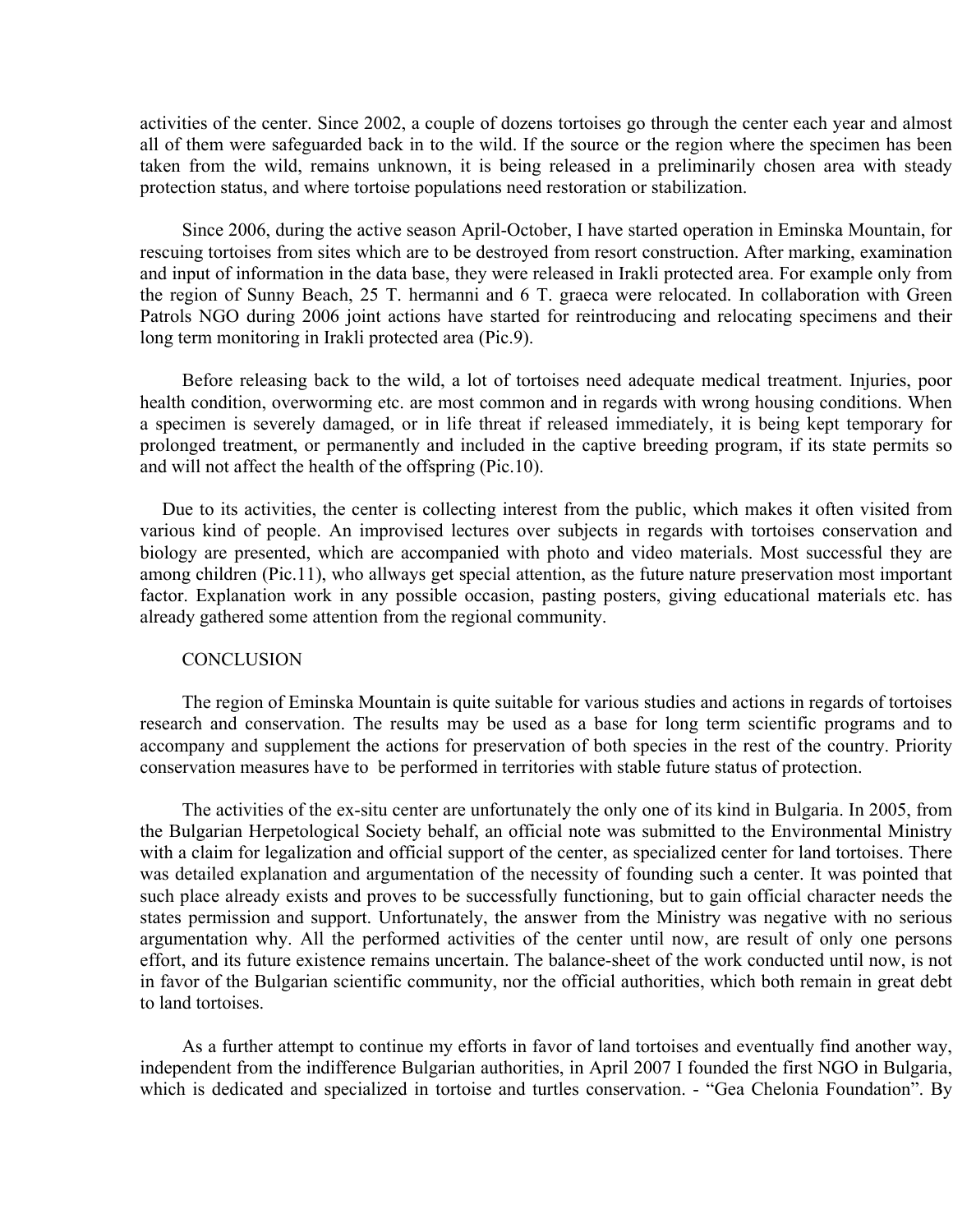activities of the center. Since 2002, a couple of dozens tortoises go through the center each year and almost all of them were safeguarded back in to the wild. If the source or the region where the specimen has been taken from the wild, remains unknown, it is being released in a preliminarily chosen area with steady protection status, and where tortoise populations need restoration or stabilization.

Since 2006, during the active season April-October, I have started operation in Eminska Mountain, for rescuing tortoises from sites which are to be destroyed from resort construction. After marking, examination and input of information in the data base, they were released in Irakli protected area. For example only from the region of Sunny Beach, 25 T. hermanni and 6 T. graeca were relocated. In collaboration with Green Patrols NGO during 2006 joint actions have started for reintroducing and relocating specimens and their long term monitoring in Irakli protected area (Pic.9).

Before releasing back to the wild, a lot of tortoises need adequate medical treatment. Injuries, poor health condition, overworming etc. are most common and in regards with wrong housing conditions. When a specimen is severely damaged, or in life threat if released immediately, it is being kept temporary for prolonged treatment, or permanently and included in the captive breeding program, if its state permits so and will not affect the health of the offspring (Pic.10).

Due to its activities, the center is collecting interest from the public, which makes it often visited from various kind of people. An improvised lectures over subjects in regards with tortoises conservation and biology are presented, which are accompanied with photo and video materials. Most successful they are among children (Pic.11), who allways get special attention, as the future nature preservation most important factor. Explanation work in any possible occasion, pasting posters, giving educational materials etc. has already gathered some attention from the regional community.

### **CONCLUSION**

The region of Eminska Mountain is quite suitable for various studies and actions in regards of tortoises research and conservation. The results may be used as a base for long term scientific programs and to accompany and supplement the actions for preservation of both species in the rest of the country. Priority conservation measures have to be performed in territories with stable future status of protection.

The activities of the ex-situ center are unfortunately the only one of its kind in Bulgaria. In 2005, from the Bulgarian Herpetological Society behalf, an official note was submitted to the Environmental Ministry with a claim for legalization and official support of the center, as specialized center for land tortoises. There was detailed explanation and argumentation of the necessity of founding such a center. It was pointed that such place already exists and proves to be successfully functioning, but to gain official character needs the states permission and support. Unfortunately, the answer from the Ministry was negative with no serious argumentation why. All the performed activities of the center until now, are result of only one persons effort, and its future existence remains uncertain. The balance-sheet of the work conducted until now, is not in favor of the Bulgarian scientific community, nor the official authorities, which both remain in great debt to land tortoises.

As a further attempt to continue my efforts in favor of land tortoises and eventually find another way, independent from the indifference Bulgarian authorities, in April 2007 I founded the first NGO in Bulgaria, which is dedicated and specialized in tortoise and turtles conservation. - "Gea Chelonia Foundation". By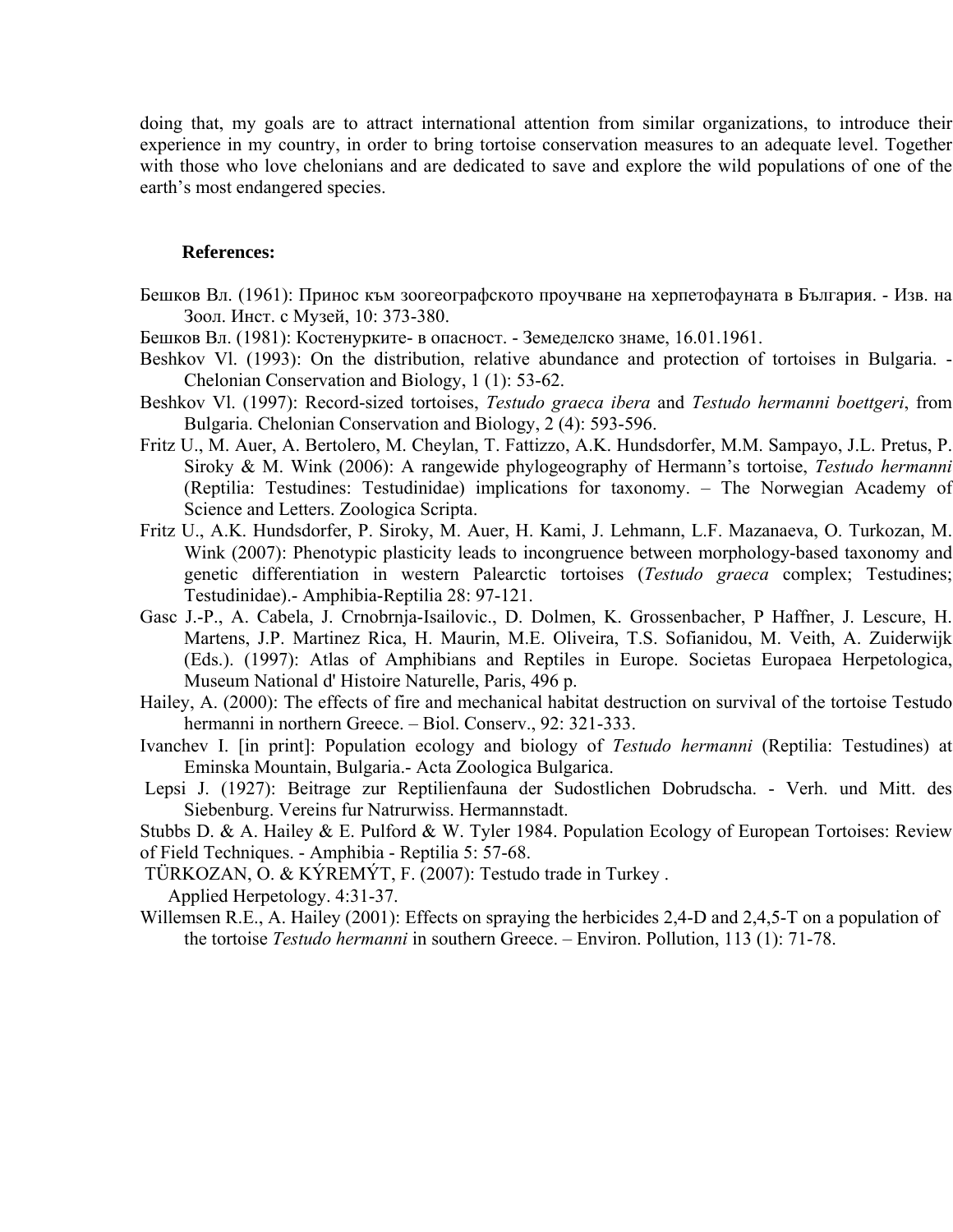doing that, my goals are to attract international attention from similar organizations, to introduce their experience in my country, in order to bring tortoise conservation measures to an adequate level. Together with those who love chelonians and are dedicated to save and explore the wild populations of one of the earth's most endangered species.

#### **References:**

- Бешков Вл. (1961): Принос към зоогеографското проучване на херпетофауната в България. Изв. на Зоол. Инст. с Музей, 10: 373-380.
- Бешков Вл. (1981): Костенурките- в опасност. Земеделско знаме, 16.01.1961.
- Beshkov Vl. (1993): On the distribution, relative abundance and protection of tortoises in Bulgaria. Chelonian Conservation and Biology, 1 (1): 53-62.
- Beshkov Vl. (1997): Record-sized tortoises, *Testudo graeca ibera* and *Testudo hermanni boettgeri*, from Bulgaria. Chelonian Conservation and Biology, 2 (4): 593-596.
- Fritz U., M. Auer, A. Bertolero, M. Cheylan, T. Fattizzo, A.K. Hundsdorfer, M.M. Sampayo, J.L. Pretus, P. Siroky & M. Wink (2006): A rangewide phylogeography of Hermann's tortoise, *Testudo hermanni* (Reptilia: Testudines: Testudinidae) implications for taxonomy. – The Norwegian Academy of Science and Letters. Zoologica Scripta.
- Fritz U., A.K. Hundsdorfer, P. Siroky, M. Auer, H. Kami, J. Lehmann, L.F. Mazanaeva, O. Turkozan, M. Wink (2007): Phenotypic plasticity leads to incongruence between morphology-based taxonomy and genetic differentiation in western Palearctic tortoises (*Testudo graeca* complex; Testudines; Testudinidae).- Amphibia-Reptilia 28: 97-121.
- Gasc J.-P., A. Cabela, J. Crnobrnja-Isailovic., D. Dolmen, K. Grossenbacher, P Haffner, J. Lescure, H. Martens, J.P. Martinez Rica, H. Maurin, M.E. Oliveira, T.S. Sofianidou, M. Veith, A. Zuiderwijk (Eds.). (1997): Atlas of Amphibians and Reptiles in Europe. Societas Europaea Herpetologica, Museum National d' Histoire Naturelle, Paris, 496 p.
- Hailey, A. (2000): The effects of fire and mechanical habitat destruction on survival of the tortoise Testudo hermanni in northern Greece. – Biol. Conserv., 92: 321-333.
- Ivanchev I. [in print]: Population ecology and biology of *Testudo hermanni* (Reptilia: Testudines) at Eminska Mountain, Bulgaria.- Acta Zoologica Bulgarica.
- Lepsi J. (1927): Beitrage zur Reptilienfauna der Sudostlichen Dobrudscha. Verh. und Mitt. des Siebenburg. Vereins fur Natrurwiss. Hermannstadt.

Stubbs D. & A. Hailey & E. Pulford & W. Tyler 1984. Population Ecology of European Tortoises: Review of Field Techniques. - Amphibia - Reptilia 5: 57-68.

 TÜRKOZAN, O. & KÝREMÝT, F. (2007): Testudo trade in Turkey . Applied Herpetology. 4:31-37.

Willemsen R.E., A. Hailey (2001): Effects on spraying the herbicides 2,4-D and 2,4,5-T on a population of the tortoise *Testudo hermanni* in southern Greece. – Environ. Pollution, 113 (1): 71-78.